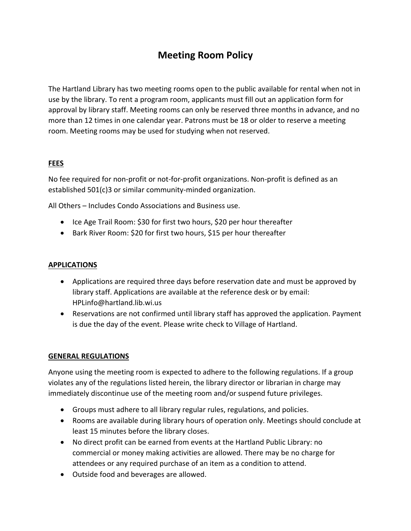# **Meeting Room Policy**

The Hartland Library has two meeting rooms open to the public available for rental when not in use by the library. To rent a program room, applicants must fill out an application form for approval by library staff. Meeting rooms can only be reserved three months in advance, and no more than 12 times in one calendar year. Patrons must be 18 or older to reserve a meeting room. Meeting rooms may be used for studying when not reserved.

### **FEES**

No fee required for non-profit or not-for-profit organizations. Non-profit is defined as an established 501(c)3 or similar community-minded organization.

All Others – Includes Condo Associations and Business use.

- Ice Age Trail Room: \$30 for first two hours, \$20 per hour thereafter
- Bark River Room: \$20 for first two hours, \$15 per hour thereafter

### **APPLICATIONS**

- Applications are required three days before reservation date and must be approved by library staff. Applications are available at the reference desk or by email: HPLinfo@hartland.lib.wi.us
- Reservations are not confirmed until library staff has approved the application. Payment is due the day of the event. Please write check to Village of Hartland.

## **GENERAL REGULATIONS**

Anyone using the meeting room is expected to adhere to the following regulations. If a group violates any of the regulations listed herein, the library director or librarian in charge may immediately discontinue use of the meeting room and/or suspend future privileges.

- Groups must adhere to all library regular rules, regulations, and policies.
- Rooms are available during library hours of operation only. Meetings should conclude at least 15 minutes before the library closes.
- No direct profit can be earned from events at the Hartland Public Library: no commercial or money making activities are allowed. There may be no charge for attendees or any required purchase of an item as a condition to attend.
- Outside food and beverages are allowed.